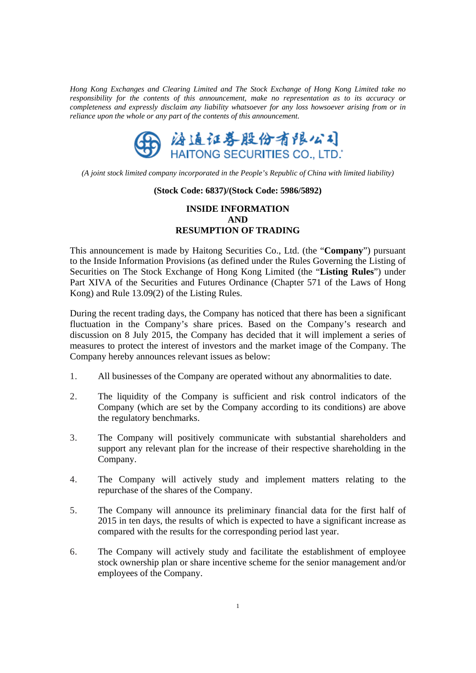*Hong Kong Exchanges and Clearing Limited and The Stock Exchange of Hong Kong Limited take no responsibility for the contents of this announcement, make no representation as to its accuracy or completeness and expressly disclaim any liability whatsoever for any loss howsoever arising from or in reliance upon the whole or any part of the contents of this announcement.* 



*(A joint stock limited company incorporated in the People's Republic of China with limited liability)* 

#### **(Stock Code: 6837)/(Stock Code: 5986/5892)**

# **INSIDE INFORMATION AND RESUMPTION OF TRADING**

This announcement is made by Haitong Securities Co., Ltd. (the "**Company**") pursuant to the Inside Information Provisions (as defined under the Rules Governing the Listing of Securities on The Stock Exchange of Hong Kong Limited (the "**Listing Rules**") under Part XIVA of the Securities and Futures Ordinance (Chapter 571 of the Laws of Hong Kong) and Rule 13.09(2) of the Listing Rules.

During the recent trading days, the Company has noticed that there has been a significant fluctuation in the Company's share prices. Based on the Company's research and discussion on 8 July 2015, the Company has decided that it will implement a series of measures to protect the interest of investors and the market image of the Company. The Company hereby announces relevant issues as below:

- 1. All businesses of the Company are operated without any abnormalities to date.
- 2. The liquidity of the Company is sufficient and risk control indicators of the Company (which are set by the Company according to its conditions) are above the regulatory benchmarks.
- 3. The Company will positively communicate with substantial shareholders and support any relevant plan for the increase of their respective shareholding in the Company.
- 4. The Company will actively study and implement matters relating to the repurchase of the shares of the Company.
- 5. The Company will announce its preliminary financial data for the first half of 2015 in ten days, the results of which is expected to have a significant increase as compared with the results for the corresponding period last year.
- 6. The Company will actively study and facilitate the establishment of employee stock ownership plan or share incentive scheme for the senior management and/or employees of the Company.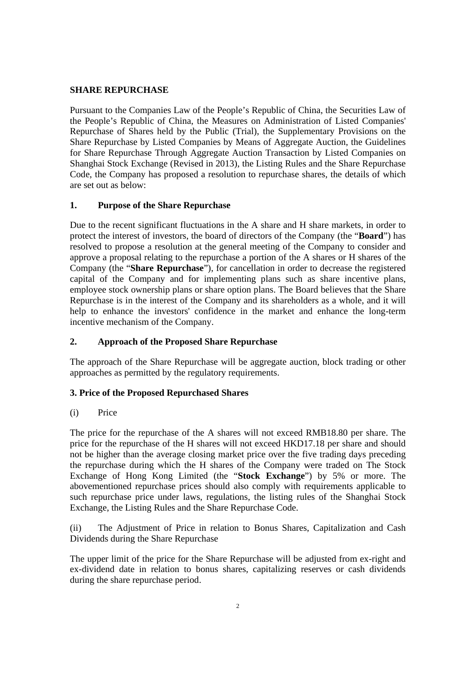### **SHARE REPURCHASE**

Pursuant to the Companies Law of the People's Republic of China, the Securities Law of the People's Republic of China, the Measures on Administration of Listed Companies' Repurchase of Shares held by the Public (Trial), the Supplementary Provisions on the Share Repurchase by Listed Companies by Means of Aggregate Auction, the Guidelines for Share Repurchase Through Aggregate Auction Transaction by Listed Companies on Shanghai Stock Exchange (Revised in 2013), the Listing Rules and the Share Repurchase Code, the Company has proposed a resolution to repurchase shares, the details of which are set out as below:

### **1. Purpose of the Share Repurchase**

Due to the recent significant fluctuations in the A share and H share markets, in order to protect the interest of investors, the board of directors of the Company (the "**Board**") has resolved to propose a resolution at the general meeting of the Company to consider and approve a proposal relating to the repurchase a portion of the A shares or H shares of the Company (the "**Share Repurchase**"), for cancellation in order to decrease the registered capital of the Company and for implementing plans such as share incentive plans, employee stock ownership plans or share option plans. The Board believes that the Share Repurchase is in the interest of the Company and its shareholders as a whole, and it will help to enhance the investors' confidence in the market and enhance the long-term incentive mechanism of the Company.

### **2. Approach of the Proposed Share Repurchase**

The approach of the Share Repurchase will be aggregate auction, block trading or other approaches as permitted by the regulatory requirements.

### **3. Price of the Proposed Repurchased Shares**

### (i) Price

The price for the repurchase of the A shares will not exceed RMB18.80 per share. The price for the repurchase of the H shares will not exceed HKD17.18 per share and should not be higher than the average closing market price over the five trading days preceding the repurchase during which the H shares of the Company were traded on The Stock Exchange of Hong Kong Limited (the "**Stock Exchange**") by 5% or more. The abovementioned repurchase prices should also comply with requirements applicable to such repurchase price under laws, regulations, the listing rules of the Shanghai Stock Exchange, the Listing Rules and the Share Repurchase Code.

(ii) The Adjustment of Price in relation to Bonus Shares, Capitalization and Cash Dividends during the Share Repurchase

The upper limit of the price for the Share Repurchase will be adjusted from ex-right and ex-dividend date in relation to bonus shares, capitalizing reserves or cash dividends during the share repurchase period.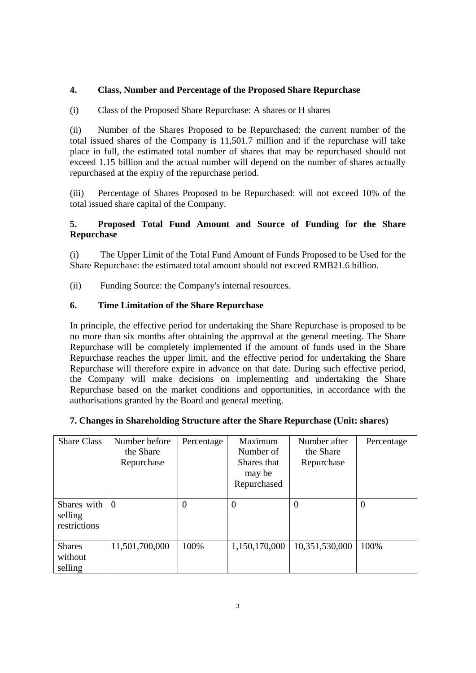## **4. Class, Number and Percentage of the Proposed Share Repurchase**

(i) Class of the Proposed Share Repurchase: A shares or H shares

(ii) Number of the Shares Proposed to be Repurchased: the current number of the total issued shares of the Company is 11,501.7 million and if the repurchase will take place in full, the estimated total number of shares that may be repurchased should not exceed 1.15 billion and the actual number will depend on the number of shares actually repurchased at the expiry of the repurchase period.

(iii) Percentage of Shares Proposed to be Repurchased: will not exceed 10% of the total issued share capital of the Company.

## **5. Proposed Total Fund Amount and Source of Funding for the Share Repurchase**

(i) The Upper Limit of the Total Fund Amount of Funds Proposed to be Used for the Share Repurchase: the estimated total amount should not exceed RMB21.6 billion.

(ii) Funding Source: the Company's internal resources.

### **6. Time Limitation of the Share Repurchase**

In principle, the effective period for undertaking the Share Repurchase is proposed to be no more than six months after obtaining the approval at the general meeting. The Share Repurchase will be completely implemented if the amount of funds used in the Share Repurchase reaches the upper limit, and the effective period for undertaking the Share Repurchase will therefore expire in advance on that date. During such effective period, the Company will make decisions on implementing and undertaking the Share Repurchase based on the market conditions and opportunities, in accordance with the authorisations granted by the Board and general meeting.

### **7. Changes in Shareholding Structure after the Share Repurchase (Unit: shares)**

| <b>Share Class</b>                     | Number before<br>the Share<br>Repurchase | Percentage | Maximum<br>Number of<br>Shares that<br>may be<br>Repurchased | Number after<br>the Share<br>Repurchase | Percentage |
|----------------------------------------|------------------------------------------|------------|--------------------------------------------------------------|-----------------------------------------|------------|
| Shares with<br>selling<br>restrictions | $\overline{0}$                           | $\Omega$   | 0                                                            | $\theta$                                | $\theta$   |
| <b>Shares</b><br>without<br>selling    | 11,501,700,000                           | 100%       | 1,150,170,000                                                | 10,351,530,000                          | 100%       |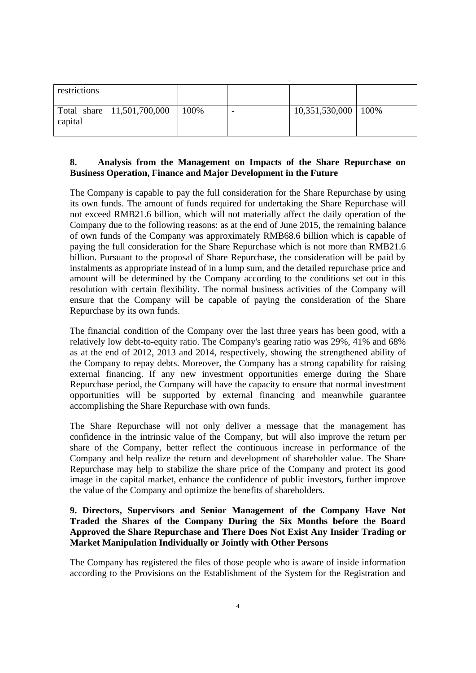| restrictions |                              |      |   |                       |  |
|--------------|------------------------------|------|---|-----------------------|--|
| capital      | Total share   11,501,700,000 | 100% | - | 10,351,530,000   100% |  |

### **8. Analysis from the Management on Impacts of the Share Repurchase on Business Operation, Finance and Major Development in the Future**

The Company is capable to pay the full consideration for the Share Repurchase by using its own funds. The amount of funds required for undertaking the Share Repurchase will not exceed RMB21.6 billion, which will not materially affect the daily operation of the Company due to the following reasons: as at the end of June 2015, the remaining balance of own funds of the Company was approximately RMB68.6 billion which is capable of paying the full consideration for the Share Repurchase which is not more than RMB21.6 billion. Pursuant to the proposal of Share Repurchase, the consideration will be paid by instalments as appropriate instead of in a lump sum, and the detailed repurchase price and amount will be determined by the Company according to the conditions set out in this resolution with certain flexibility. The normal business activities of the Company will ensure that the Company will be capable of paying the consideration of the Share Repurchase by its own funds.

The financial condition of the Company over the last three years has been good, with a relatively low debt-to-equity ratio. The Company's gearing ratio was 29%, 41% and 68% as at the end of 2012, 2013 and 2014, respectively, showing the strengthened ability of the Company to repay debts. Moreover, the Company has a strong capability for raising external financing. If any new investment opportunities emerge during the Share Repurchase period, the Company will have the capacity to ensure that normal investment opportunities will be supported by external financing and meanwhile guarantee accomplishing the Share Repurchase with own funds.

The Share Repurchase will not only deliver a message that the management has confidence in the intrinsic value of the Company, but will also improve the return per share of the Company, better reflect the continuous increase in performance of the Company and help realize the return and development of shareholder value. The Share Repurchase may help to stabilize the share price of the Company and protect its good image in the capital market, enhance the confidence of public investors, further improve the value of the Company and optimize the benefits of shareholders.

### **9. Directors, Supervisors and Senior Management of the Company Have Not Traded the Shares of the Company During the Six Months before the Board Approved the Share Repurchase and There Does Not Exist Any Insider Trading or Market Manipulation Individually or Jointly with Other Persons**

The Company has registered the files of those people who is aware of inside information according to the Provisions on the Establishment of the System for the Registration and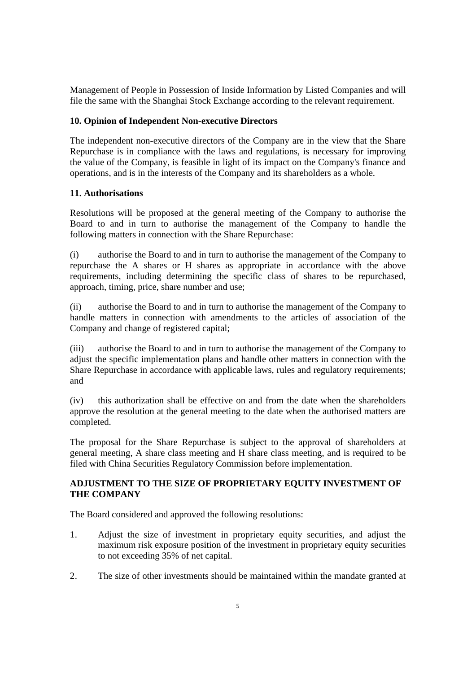Management of People in Possession of Inside Information by Listed Companies and will file the same with the Shanghai Stock Exchange according to the relevant requirement.

### **10. Opinion of Independent Non-executive Directors**

The independent non-executive directors of the Company are in the view that the Share Repurchase is in compliance with the laws and regulations, is necessary for improving the value of the Company, is feasible in light of its impact on the Company's finance and operations, and is in the interests of the Company and its shareholders as a whole.

### **11. Authorisations**

Resolutions will be proposed at the general meeting of the Company to authorise the Board to and in turn to authorise the management of the Company to handle the following matters in connection with the Share Repurchase:

(i) authorise the Board to and in turn to authorise the management of the Company to repurchase the A shares or H shares as appropriate in accordance with the above requirements, including determining the specific class of shares to be repurchased, approach, timing, price, share number and use;

(ii) authorise the Board to and in turn to authorise the management of the Company to handle matters in connection with amendments to the articles of association of the Company and change of registered capital;

(iii) authorise the Board to and in turn to authorise the management of the Company to adjust the specific implementation plans and handle other matters in connection with the Share Repurchase in accordance with applicable laws, rules and regulatory requirements; and

(iv) this authorization shall be effective on and from the date when the shareholders approve the resolution at the general meeting to the date when the authorised matters are completed.

The proposal for the Share Repurchase is subject to the approval of shareholders at general meeting, A share class meeting and H share class meeting, and is required to be filed with China Securities Regulatory Commission before implementation.

### **ADJUSTMENT TO THE SIZE OF PROPRIETARY EQUITY INVESTMENT OF THE COMPANY**

The Board considered and approved the following resolutions:

- 1. Adjust the size of investment in proprietary equity securities, and adjust the maximum risk exposure position of the investment in proprietary equity securities to not exceeding 35% of net capital.
- 2. The size of other investments should be maintained within the mandate granted at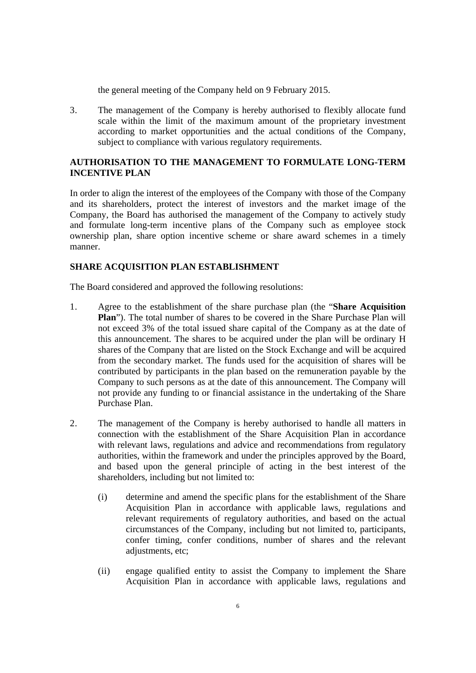the general meeting of the Company held on 9 February 2015.

3. The management of the Company is hereby authorised to flexibly allocate fund scale within the limit of the maximum amount of the proprietary investment according to market opportunities and the actual conditions of the Company, subject to compliance with various regulatory requirements.

### **AUTHORISATION TO THE MANAGEMENT TO FORMULATE LONG-TERM INCENTIVE PLAN**

In order to align the interest of the employees of the Company with those of the Company and its shareholders, protect the interest of investors and the market image of the Company, the Board has authorised the management of the Company to actively study and formulate long-term incentive plans of the Company such as employee stock ownership plan, share option incentive scheme or share award schemes in a timely manner.

### **SHARE ACQUISITION PLAN ESTABLISHMENT**

The Board considered and approved the following resolutions:

- 1. Agree to the establishment of the share purchase plan (the "**Share Acquisition Plan**"). The total number of shares to be covered in the Share Purchase Plan will not exceed 3% of the total issued share capital of the Company as at the date of this announcement. The shares to be acquired under the plan will be ordinary H shares of the Company that are listed on the Stock Exchange and will be acquired from the secondary market. The funds used for the acquisition of shares will be contributed by participants in the plan based on the remuneration payable by the Company to such persons as at the date of this announcement. The Company will not provide any funding to or financial assistance in the undertaking of the Share Purchase Plan.
- 2. The management of the Company is hereby authorised to handle all matters in connection with the establishment of the Share Acquisition Plan in accordance with relevant laws, regulations and advice and recommendations from regulatory authorities, within the framework and under the principles approved by the Board, and based upon the general principle of acting in the best interest of the shareholders, including but not limited to:
	- (i) determine and amend the specific plans for the establishment of the Share Acquisition Plan in accordance with applicable laws, regulations and relevant requirements of regulatory authorities, and based on the actual circumstances of the Company, including but not limited to, participants, confer timing, confer conditions, number of shares and the relevant adjustments, etc;
	- (ii) engage qualified entity to assist the Company to implement the Share Acquisition Plan in accordance with applicable laws, regulations and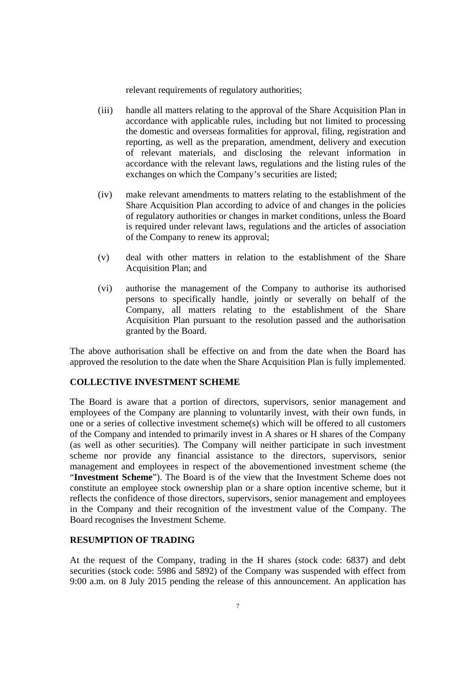relevant requirements of regulatory authorities;

- (iii) handle all matters relating to the approval of the Share Acquisition Plan in accordance with applicable rules, including but not limited to processing the domestic and overseas formalities for approval, filing, registration and reporting, as well as the preparation, amendment, delivery and execution of relevant materials, and disclosing the relevant information in accordance with the relevant laws, regulations and the listing rules of the exchanges on which the Company's securities are listed;
- (iv) make relevant amendments to matters relating to the establishment of the Share Acquisition Plan according to advice of and changes in the policies of regulatory authorities or changes in market conditions, unless the Board is required under relevant laws, regulations and the articles of association of the Company to renew its approval;
- (v) deal with other matters in relation to the establishment of the Share Acquisition Plan; and
- (vi) authorise the management of the Company to authorise its authorised persons to specifically handle, jointly or severally on behalf of the Company, all matters relating to the establishment of the Share Acquisition Plan pursuant to the resolution passed and the authorisation granted by the Board.

The above authorisation shall be effective on and from the date when the Board has approved the resolution to the date when the Share Acquisition Plan is fully implemented.

# **COLLECTIVE INVESTMENT SCHEME**

The Board is aware that a portion of directors, supervisors, senior management and employees of the Company are planning to voluntarily invest, with their own funds, in one or a series of collective investment scheme(s) which will be offered to all customers of the Company and intended to primarily invest in A shares or H shares of the Company (as well as other securities). The Company will neither participate in such investment scheme nor provide any financial assistance to the directors, supervisors, senior management and employees in respect of the abovementioned investment scheme (the "**Investment Scheme**"). The Board is of the view that the Investment Scheme does not constitute an employee stock ownership plan or a share option incentive scheme, but it reflects the confidence of those directors, supervisors, senior management and employees in the Company and their recognition of the investment value of the Company. The Board recognises the Investment Scheme.

## **RESUMPTION OF TRADING**

At the request of the Company, trading in the H shares (stock code: 6837) and debt securities (stock code: 5986 and 5892) of the Company was suspended with effect from 9:00 a.m. on 8 July 2015 pending the release of this announcement. An application has